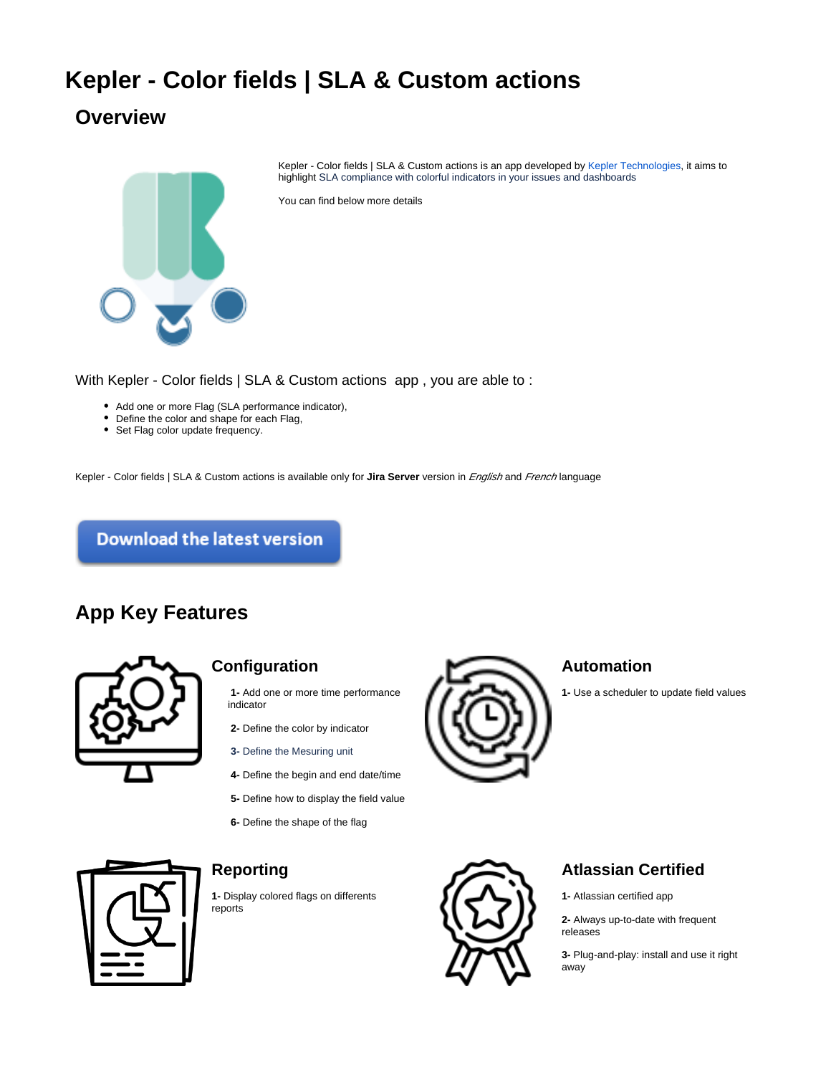# **Kepler - Color fields | SLA & Custom actions**

# **Overview**



Kepler - Color fields | SLA & Custom actions is an app developed by [Kepler Technologies,](https://www.kepler-technologies.com) it aims to highlight SLA compliance with colorful indicators in your issues and dashboards

You can find below more details

With Kepler - Color fields | SLA & Custom actions app , you are able to :

- Add one or more Flag (SLA performance indicator),
- Define the color and shape for each Flag,
- Set Flag color update frequency.

Kepler - Color fields | SLA & Custom actions is available only for **Jira Server** version in English and French language

**Download the latest version** 

## **App Key Features**



#### **Configuration**

- **1-** Add one or more time performance indicator
- **2-** Define the color by indicator
- **3-** Define the Mesuring unit
- **4-** Define the begin and end date/time
- **5-** Define how to display the field value
- **6-** Define the shape of the flag



#### **Automation**

**1-** Use a scheduler to update field values



### **Reporting**

**1-** Display colored flags on differents reports



### **Atlassian Certified**

**1-** Atlassian certified app

**2-** Always up-to-date with frequent releases

**3-** Plug-and-play: install and use it right away